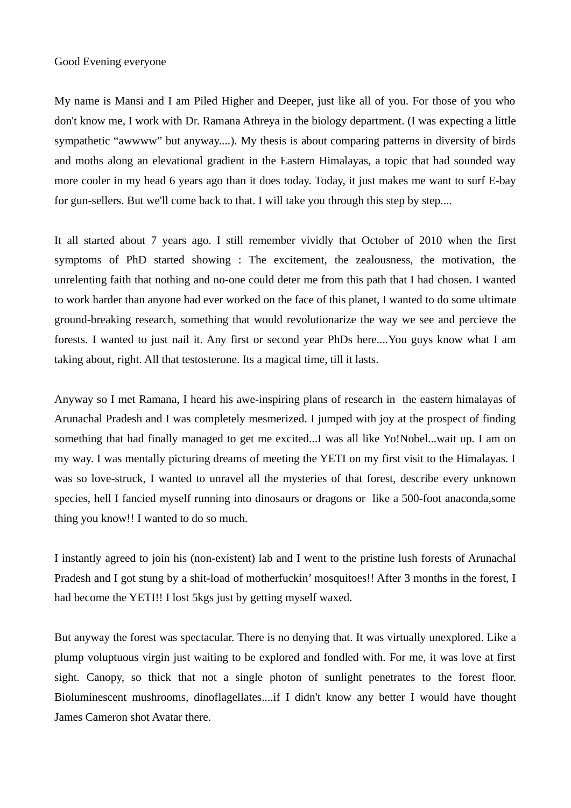## Good Evening everyone

My name is Mansi and I am Piled Higher and Deeper, just like all of you. For those of you who don't know me, I work with Dr. Ramana Athreya in the biology department. (I was expecting a little sympathetic "awwww" but anyway....). My thesis is about comparing patterns in diversity of birds and moths along an elevational gradient in the Eastern Himalayas, a topic that had sounded way more cooler in my head 6 years ago than it does today. Today, it just makes me want to surf E-bay for gun-sellers. But we'll come back to that. I will take you through this step by step....

It all started about 7 years ago. I still remember vividly that October of 2010 when the first symptoms of PhD started showing : The excitement, the zealousness, the motivation, the unrelenting faith that nothing and no-one could deter me from this path that I had chosen. I wanted to work harder than anyone had ever worked on the face of this planet, I wanted to do some ultimate ground-breaking research, something that would revolutionarize the way we see and percieve the forests. I wanted to just nail it. Any first or second year PhDs here....You guys know what I am taking about, right. All that testosterone. Its a magical time, till it lasts.

Anyway so I met Ramana, I heard his awe-inspiring plans of research in the eastern himalayas of Arunachal Pradesh and I was completely mesmerized. I jumped with joy at the prospect of finding something that had finally managed to get me excited...I was all like Yo!Nobel...wait up. I am on my way. I was mentally picturing dreams of meeting the YETI on my first visit to the Himalayas. I was so love-struck, I wanted to unravel all the mysteries of that forest, describe every unknown species, hell I fancied myself running into dinosaurs or dragons or like a 500-foot anaconda,some thing you know!! I wanted to do so much.

I instantly agreed to join his (non-existent) lab and I went to the pristine lush forests of Arunachal Pradesh and I got stung by a shit-load of motherfuckin' mosquitoes!! After 3 months in the forest, I had become the YETI!! I lost 5kgs just by getting myself waxed.

But anyway the forest was spectacular. There is no denying that. It was virtually unexplored. Like a plump voluptuous virgin just waiting to be explored and fondled with. For me, it was love at first sight. Canopy, so thick that not a single photon of sunlight penetrates to the forest floor. Bioluminescent mushrooms, dinoflagellates....if I didn't know any better I would have thought James Cameron shot Avatar there.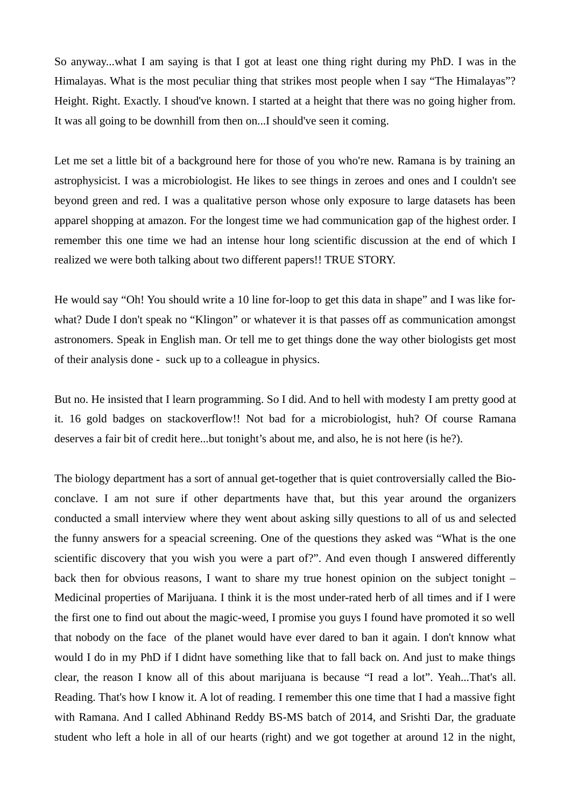So anyway...what I am saying is that I got at least one thing right during my PhD. I was in the Himalayas. What is the most peculiar thing that strikes most people when I say "The Himalayas"? Height. Right. Exactly. I shoud've known. I started at a height that there was no going higher from. It was all going to be downhill from then on...I should've seen it coming.

Let me set a little bit of a background here for those of you who're new. Ramana is by training an astrophysicist. I was a microbiologist. He likes to see things in zeroes and ones and I couldn't see beyond green and red. I was a qualitative person whose only exposure to large datasets has been apparel shopping at amazon. For the longest time we had communication gap of the highest order. I remember this one time we had an intense hour long scientific discussion at the end of which I realized we were both talking about two different papers!! TRUE STORY.

He would say "Oh! You should write a 10 line for-loop to get this data in shape" and I was like forwhat? Dude I don't speak no "Klingon" or whatever it is that passes off as communication amongst astronomers. Speak in English man. Or tell me to get things done the way other biologists get most of their analysis done - suck up to a colleague in physics.

But no. He insisted that I learn programming. So I did. And to hell with modesty I am pretty good at it. 16 gold badges on stackoverflow!! Not bad for a microbiologist, huh? Of course Ramana deserves a fair bit of credit here...but tonight's about me, and also, he is not here (is he?).

The biology department has a sort of annual get-together that is quiet controversially called the Bioconclave. I am not sure if other departments have that, but this year around the organizers conducted a small interview where they went about asking silly questions to all of us and selected the funny answers for a speacial screening. One of the questions they asked was "What is the one scientific discovery that you wish you were a part of?". And even though I answered differently back then for obvious reasons, I want to share my true honest opinion on the subject tonight – Medicinal properties of Marijuana. I think it is the most under-rated herb of all times and if I were the first one to find out about the magic-weed, I promise you guys I found have promoted it so well that nobody on the face of the planet would have ever dared to ban it again. I don't knnow what would I do in my PhD if I didnt have something like that to fall back on. And just to make things clear, the reason I know all of this about marijuana is because "I read a lot". Yeah...That's all. Reading. That's how I know it. A lot of reading. I remember this one time that I had a massive fight with Ramana. And I called Abhinand Reddy BS-MS batch of 2014, and Srishti Dar, the graduate student who left a hole in all of our hearts (right) and we got together at around 12 in the night,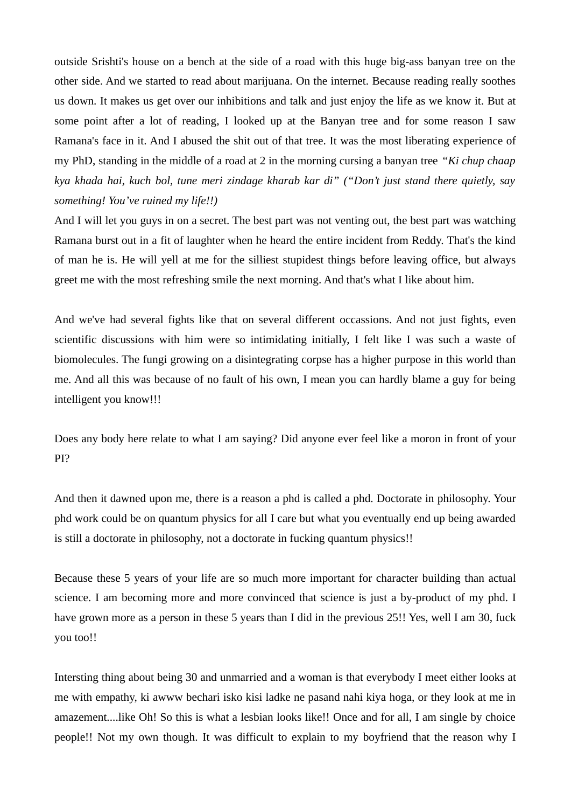outside Srishti's house on a bench at the side of a road with this huge big-ass banyan tree on the other side. And we started to read about marijuana. On the internet. Because reading really soothes us down. It makes us get over our inhibitions and talk and just enjoy the life as we know it. But at some point after a lot of reading, I looked up at the Banyan tree and for some reason I saw Ramana's face in it. And I abused the shit out of that tree. It was the most liberating experience of my PhD, standing in the middle of a road at 2 in the morning cursing a banyan tree *"Ki chup chaap kya khada hai, kuch bol, tune meri zindage kharab kar di" ("Don't just stand there quietly, say something! You've ruined my life!!)* 

And I will let you guys in on a secret. The best part was not venting out, the best part was watching Ramana burst out in a fit of laughter when he heard the entire incident from Reddy. That's the kind of man he is. He will yell at me for the silliest stupidest things before leaving office, but always greet me with the most refreshing smile the next morning. And that's what I like about him.

And we've had several fights like that on several different occassions. And not just fights, even scientific discussions with him were so intimidating initially, I felt like I was such a waste of biomolecules. The fungi growing on a disintegrating corpse has a higher purpose in this world than me. And all this was because of no fault of his own, I mean you can hardly blame a guy for being intelligent you know!!!

Does any body here relate to what I am saying? Did anyone ever feel like a moron in front of your PI?

And then it dawned upon me, there is a reason a phd is called a phd. Doctorate in philosophy. Your phd work could be on quantum physics for all I care but what you eventually end up being awarded is still a doctorate in philosophy, not a doctorate in fucking quantum physics!!

Because these 5 years of your life are so much more important for character building than actual science. I am becoming more and more convinced that science is just a by-product of my phd. I have grown more as a person in these 5 years than I did in the previous 25!! Yes, well I am 30, fuck you too!!

Intersting thing about being 30 and unmarried and a woman is that everybody I meet either looks at me with empathy, ki awww bechari isko kisi ladke ne pasand nahi kiya hoga, or they look at me in amazement....like Oh! So this is what a lesbian looks like!! Once and for all, I am single by choice people!! Not my own though. It was difficult to explain to my boyfriend that the reason why I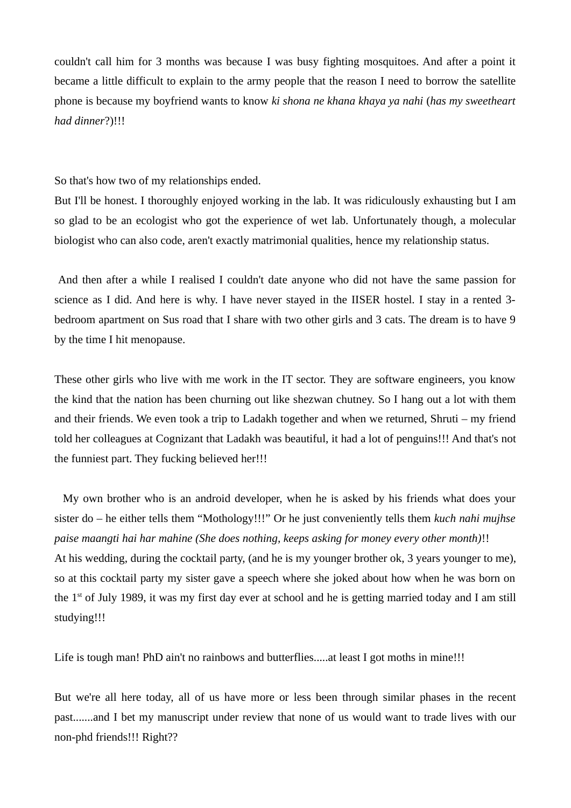couldn't call him for 3 months was because I was busy fighting mosquitoes. And after a point it became a little difficult to explain to the army people that the reason I need to borrow the satellite phone is because my boyfriend wants to know *ki shona ne khana khaya ya nahi* (*has my sweetheart had dinner*?)!!!

So that's how two of my relationships ended.

But I'll be honest. I thoroughly enjoyed working in the lab. It was ridiculously exhausting but I am so glad to be an ecologist who got the experience of wet lab. Unfortunately though, a molecular biologist who can also code, aren't exactly matrimonial qualities, hence my relationship status.

 And then after a while I realised I couldn't date anyone who did not have the same passion for science as I did. And here is why. I have never stayed in the IISER hostel. I stay in a rented 3 bedroom apartment on Sus road that I share with two other girls and 3 cats. The dream is to have 9 by the time I hit menopause.

These other girls who live with me work in the IT sector. They are software engineers, you know the kind that the nation has been churning out like shezwan chutney. So I hang out a lot with them and their friends. We even took a trip to Ladakh together and when we returned, Shruti – my friend told her colleagues at Cognizant that Ladakh was beautiful, it had a lot of penguins!!! And that's not the funniest part. They fucking believed her!!!

 My own brother who is an android developer, when he is asked by his friends what does your sister do – he either tells them "Mothology!!!" Or he just conveniently tells them *kuch nahi mujhse paise maangti hai har mahine (She does nothing, keeps asking for money every other month)*!! At his wedding, during the cocktail party, (and he is my younger brother ok, 3 years younger to me), so at this cocktail party my sister gave a speech where she joked about how when he was born on the  $1<sup>st</sup>$  of July 1989, it was my first day ever at school and he is getting married today and I am still studying!!!

Life is tough man! PhD ain't no rainbows and butterflies.....at least I got moths in mine!!!

But we're all here today, all of us have more or less been through similar phases in the recent past.......and I bet my manuscript under review that none of us would want to trade lives with our non-phd friends!!! Right??